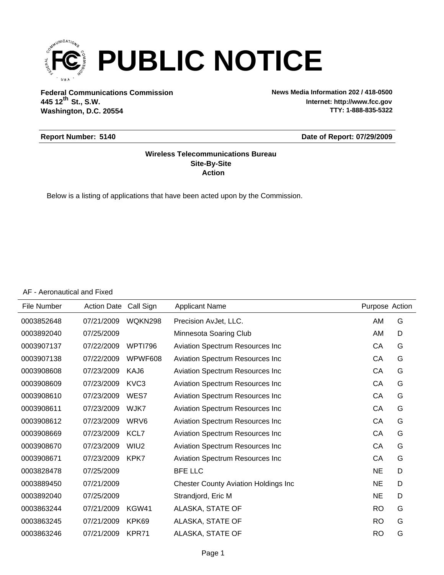

**Federal Communications Commission News Media Information 202 / 418-0500 Washington, D.C. 20554 th 445 12 St., S.W.**

**Internet: http://www.fcc.gov TTY: 1-888-835-5322**

#### **Report Number: 5140**

#### **Date of Report: 07/29/2009**

#### **Action Site-By-Site Wireless Telecommunications Bureau**

Below is a listing of applications that have been acted upon by the Commission.

AF - Aeronautical and Fixed

| File Number | <b>Action Date</b> | Call Sign        | <b>Applicant Name</b>                       | Purpose Action |   |
|-------------|--------------------|------------------|---------------------------------------------|----------------|---|
| 0003852648  | 07/21/2009         | <b>WOKN298</b>   | Precision AvJet, LLC.                       | AM             | G |
| 0003892040  | 07/25/2009         |                  | Minnesota Soaring Club                      | AM             | D |
| 0003907137  | 07/22/2009         | <b>WPTI796</b>   | Aviation Spectrum Resources Inc             | СA             | G |
| 0003907138  | 07/22/2009         | WPWF608          | Aviation Spectrum Resources Inc             | CA             | G |
| 0003908608  | 07/23/2009         | KAJ6             | Aviation Spectrum Resources Inc             | CA             | G |
| 0003908609  | 07/23/2009         | KVC3             | Aviation Spectrum Resources Inc             | CA             | G |
| 0003908610  | 07/23/2009         | WES7             | Aviation Spectrum Resources Inc             | CA             | G |
| 0003908611  | 07/23/2009         | WJK7             | Aviation Spectrum Resources Inc             | CA             | G |
| 0003908612  | 07/23/2009         | WRV <sub>6</sub> | Aviation Spectrum Resources Inc             | СA             | G |
| 0003908669  | 07/23/2009         | KCL7             | Aviation Spectrum Resources Inc             | CA             | G |
| 0003908670  | 07/23/2009         | WIU <sub>2</sub> | Aviation Spectrum Resources Inc             | CA             | G |
| 0003908671  | 07/23/2009         | KPK7             | Aviation Spectrum Resources Inc             | CA             | G |
| 0003828478  | 07/25/2009         |                  | <b>BFE LLC</b>                              | <b>NE</b>      | D |
| 0003889450  | 07/21/2009         |                  | <b>Chester County Aviation Holdings Inc</b> | <b>NE</b>      | D |
| 0003892040  | 07/25/2009         |                  | Strandjord, Eric M                          | <b>NE</b>      | D |
| 0003863244  | 07/21/2009         | KGW41            | ALASKA, STATE OF                            | <b>RO</b>      | G |
| 0003863245  | 07/21/2009         | KPK69            | ALASKA, STATE OF                            | <b>RO</b>      | G |
| 0003863246  | 07/21/2009         | KPR71            | ALASKA, STATE OF                            | <b>RO</b>      | G |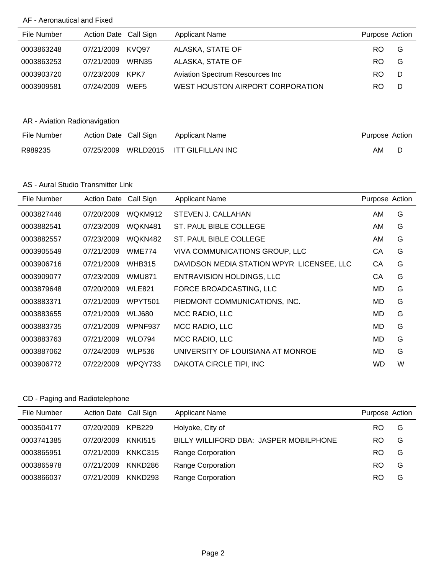### AF - Aeronautical and Fixed

| File Number | Action Date Call Sign |       | <b>Applicant Name</b>            | Purpose Action |   |
|-------------|-----------------------|-------|----------------------------------|----------------|---|
| 0003863248  | 07/21/2009            | KVQ97 | ALASKA, STATE OF                 | RO.            | G |
| 0003863253  | 07/21/2009            | WRN35 | ALASKA, STATE OF                 | RO.            | G |
| 0003903720  | 07/23/2009            | KPK7  | Aviation Spectrum Resources Inc  | RO.            | D |
| 0003909581  | 07/24/2009            | WEF5  | WEST HOUSTON AIRPORT CORPORATION | RO.            | D |

## AR - Aviation Radionavigation

| File Number | Action Date Call Sign | Applicant Name             | Purpose Action |  |
|-------------|-----------------------|----------------------------|----------------|--|
| R989235     | 07/25/2009            | WRLD2015 ITT GILFILLAN INC | AM             |  |

### AS - Aural Studio Transmitter Link

| File Number | <b>Action Date</b> | Call Sign     | <b>Applicant Name</b>                     | Purpose Action |   |
|-------------|--------------------|---------------|-------------------------------------------|----------------|---|
| 0003827446  | 07/20/2009         | WQKM912       | STEVEN J. CALLAHAN                        | AM.            | G |
| 0003882541  | 07/23/2009         | WQKN481       | ST. PAUL BIBLE COLLEGE                    | AM.            | G |
| 0003882557  | 07/23/2009         | WQKN482       | ST. PAUL BIBLE COLLEGE                    | AM.            | G |
| 0003905549  | 07/21/2009         | <b>WME774</b> | <b>VIVA COMMUNICATIONS GROUP, LLC</b>     | СA             | G |
| 0003906716  | 07/21/2009         | <b>WHB315</b> | DAVIDSON MEDIA STATION WPYR LICENSEE, LLC | СA             | G |
| 0003909077  | 07/23/2009         | WMU871        | <b>ENTRAVISION HOLDINGS, LLC</b>          | СA             | G |
| 0003879648  | 07/20/2009         | <b>WLE821</b> | FORCE BROADCASTING, LLC                   | MD             | G |
| 0003883371  | 07/21/2009         | WPYT501       | PIEDMONT COMMUNICATIONS, INC.             | MD             | G |
| 0003883655  | 07/21/2009         | <b>WLJ680</b> | MCC RADIO, LLC                            | MD             | G |
| 0003883735  | 07/21/2009         | WPNF937       | MCC RADIO, LLC                            | MD             | G |
| 0003883763  | 07/21/2009         | <b>WLO794</b> | MCC RADIO, LLC                            | MD             | G |
| 0003887062  | 07/24/2009         | <b>WLP536</b> | UNIVERSITY OF LOUISIANA AT MONROE         | MD             | G |
| 0003906772  | 07/22/2009         | WPQY733       | DAKOTA CIRCLE TIPI, INC                   | WD             | W |

# CD - Paging and Radiotelephone

| File Number | Action Date Call Sign |                     | <b>Applicant Name</b>                  | Purpose Action |   |
|-------------|-----------------------|---------------------|----------------------------------------|----------------|---|
| 0003504177  | 07/20/2009            | <b>KPB229</b>       | Holyoke, City of                       | RO.            | G |
| 0003741385  | 07/20/2009            | <b>KNKI515</b>      | BILLY WILLIFORD DBA: JASPER MOBILPHONE | <b>RO</b>      | G |
| 0003865951  | 07/21/2009            | KNKC315             | <b>Range Corporation</b>               | RO             | G |
| 0003865978  | 07/21/2009            | KNKD286             | Range Corporation                      | <b>RO</b>      | G |
| 0003866037  | 07/21/2009            | KNKD <sub>293</sub> | Range Corporation                      | RO             | G |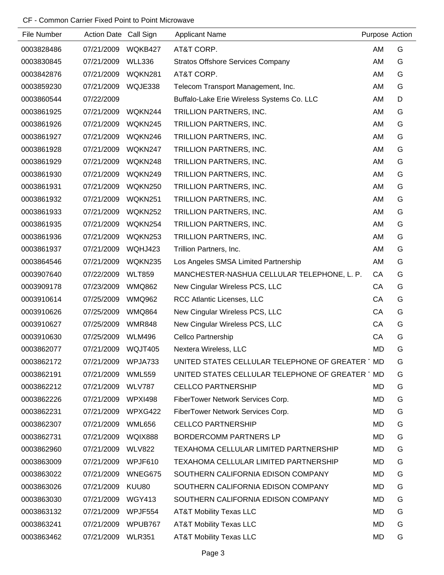| File Number | Action Date Call Sign |                | <b>Applicant Name</b>                           | Purpose Action |   |
|-------------|-----------------------|----------------|-------------------------------------------------|----------------|---|
| 0003828486  | 07/21/2009            | WQKB427        | AT&T CORP.                                      | AM             | G |
| 0003830845  | 07/21/2009            | <b>WLL336</b>  | <b>Stratos Offshore Services Company</b>        | AM             | G |
| 0003842876  | 07/21/2009            | WQKN281        | AT&T CORP.                                      | AM             | G |
| 0003859230  | 07/21/2009            | WQJE338        | Telecom Transport Management, Inc.              | AM             | G |
| 0003860544  | 07/22/2009            |                | Buffalo-Lake Erie Wireless Systems Co. LLC      | AM             | D |
| 0003861925  | 07/21/2009            | WQKN244        | TRILLION PARTNERS, INC.                         | AM             | G |
| 0003861926  | 07/21/2009            | WQKN245        | TRILLION PARTNERS, INC.                         | AM             | G |
| 0003861927  | 07/21/2009            | WQKN246        | TRILLION PARTNERS, INC.                         | AM             | G |
| 0003861928  | 07/21/2009            | WQKN247        | TRILLION PARTNERS, INC.                         | AM             | G |
| 0003861929  | 07/21/2009            | WQKN248        | TRILLION PARTNERS, INC.                         | AM             | G |
| 0003861930  | 07/21/2009            | WQKN249        | TRILLION PARTNERS, INC.                         | AM             | G |
| 0003861931  | 07/21/2009            | WQKN250        | TRILLION PARTNERS, INC.                         | AM             | G |
| 0003861932  | 07/21/2009            | WQKN251        | TRILLION PARTNERS, INC.                         | AM             | G |
| 0003861933  | 07/21/2009            | WQKN252        | TRILLION PARTNERS, INC.                         | AM             | G |
| 0003861935  | 07/21/2009            | WQKN254        | TRILLION PARTNERS, INC.                         | AM             | G |
| 0003861936  | 07/21/2009            | WQKN253        | TRILLION PARTNERS, INC.                         | AM             | G |
| 0003861937  | 07/21/2009            | WQHJ423        | Trillion Partners, Inc.                         | AM             | G |
| 0003864546  | 07/21/2009            | WQKN235        | Los Angeles SMSA Limited Partnership            | AM             | G |
| 0003907640  | 07/22/2009            | <b>WLT859</b>  | MANCHESTER-NASHUA CELLULAR TELEPHONE, L. P.     | CA             | G |
| 0003909178  | 07/23/2009            | <b>WMQ862</b>  | New Cingular Wireless PCS, LLC                  | CA             | G |
| 0003910614  | 07/25/2009            | <b>WMQ962</b>  | RCC Atlantic Licenses, LLC                      | CA             | G |
| 0003910626  | 07/25/2009            | <b>WMQ864</b>  | New Cingular Wireless PCS, LLC                  | CA             | G |
| 0003910627  | 07/25/2009            | <b>WMR848</b>  | New Cingular Wireless PCS, LLC                  | CA             | G |
| 0003910630  | 07/25/2009            | WLM496         | Cellco Partnership                              | CA             | G |
| 0003862077  | 07/21/2009            | WQJT405        | Nextera Wireless, LLC                           | <b>MD</b>      | G |
| 0003862172  | 07/21/2009            | WPJA733        | UNITED STATES CELLULAR TELEPHONE OF GREATER TMD |                | G |
| 0003862191  | 07/21/2009            | <b>WML559</b>  | UNITED STATES CELLULAR TELEPHONE OF GREATER TMD |                | G |
| 0003862212  | 07/21/2009            | WLV787         | <b>CELLCO PARTNERSHIP</b>                       | MD             | G |
| 0003862226  | 07/21/2009            | WPXI498        | FiberTower Network Services Corp.               | MD             | G |
| 0003862231  | 07/21/2009            | WPXG422        | FiberTower Network Services Corp.               | MD             | G |
| 0003862307  | 07/21/2009            | <b>WML656</b>  | <b>CELLCO PARTNERSHIP</b>                       | MD             | G |
| 0003862731  | 07/21/2009            | <b>WQIX888</b> | BORDERCOMM PARTNERS LP                          | MD             | G |
| 0003862960  | 07/21/2009            | <b>WLV822</b>  | TEXAHOMA CELLULAR LIMITED PARTNERSHIP           | MD             | G |
| 0003863009  | 07/21/2009            | WPJF610        | TEXAHOMA CELLULAR LIMITED PARTNERSHIP           | MD             | G |
| 0003863022  | 07/21/2009            | WNEG675        | SOUTHERN CALIFORNIA EDISON COMPANY              | MD             | G |
| 0003863026  | 07/21/2009            | KUU80          | SOUTHERN CALIFORNIA EDISON COMPANY              | MD             | G |
| 0003863030  | 07/21/2009            | <b>WGY413</b>  | SOUTHERN CALIFORNIA EDISON COMPANY              | MD             | G |
| 0003863132  | 07/21/2009            | WPJF554        | <b>AT&amp;T Mobility Texas LLC</b>              | MD             | G |
| 0003863241  | 07/21/2009            | WPUB767        | <b>AT&amp;T Mobility Texas LLC</b>              | MD             | G |
| 0003863462  | 07/21/2009            | <b>WLR351</b>  | <b>AT&amp;T Mobility Texas LLC</b>              | MD             | G |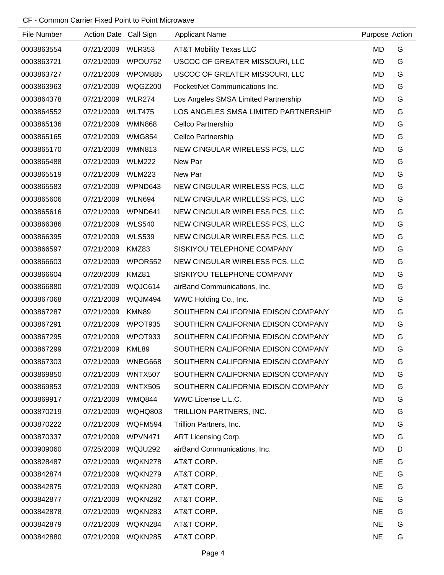| File Number | Action Date Call Sign |               | <b>Applicant Name</b>                | Purpose Action |   |
|-------------|-----------------------|---------------|--------------------------------------|----------------|---|
| 0003863554  | 07/21/2009            | <b>WLR353</b> | <b>AT&amp;T Mobility Texas LLC</b>   | MD             | G |
| 0003863721  | 07/21/2009            | WPOU752       | USCOC OF GREATER MISSOURI, LLC       | MD             | G |
| 0003863727  | 07/21/2009            | WPOM885       | USCOC OF GREATER MISSOURI, LLC       | MD             | G |
| 0003863963  | 07/21/2009            | WQGZ200       | PocketiNet Communications Inc.       | MD             | G |
| 0003864378  | 07/21/2009            | <b>WLR274</b> | Los Angeles SMSA Limited Partnership | MD             | G |
| 0003864552  | 07/21/2009            | <b>WLT475</b> | LOS ANGELES SMSA LIMITED PARTNERSHIP | MD             | G |
| 0003865136  | 07/21/2009            | <b>WMN868</b> | Cellco Partnership                   | MD             | G |
| 0003865165  | 07/21/2009            | <b>WMG854</b> | Cellco Partnership                   | MD             | G |
| 0003865170  | 07/21/2009            | <b>WMN813</b> | NEW CINGULAR WIRELESS PCS, LLC       | MD             | G |
| 0003865488  | 07/21/2009            | <b>WLM222</b> | New Par                              | MD             | G |
| 0003865519  | 07/21/2009            | <b>WLM223</b> | New Par                              | MD             | G |
| 0003865583  | 07/21/2009            | WPND643       | NEW CINGULAR WIRELESS PCS, LLC       | MD             | G |
| 0003865606  | 07/21/2009            | <b>WLN694</b> | NEW CINGULAR WIRELESS PCS, LLC       | MD             | G |
| 0003865616  | 07/21/2009            | WPND641       | NEW CINGULAR WIRELESS PCS, LLC       | MD             | G |
| 0003866386  | 07/21/2009            | <b>WLS540</b> | NEW CINGULAR WIRELESS PCS, LLC       | MD             | G |
| 0003866395  | 07/21/2009            | <b>WLS539</b> | NEW CINGULAR WIRELESS PCS, LLC       | MD             | G |
| 0003866597  | 07/21/2009            | KMZ83         | SISKIYOU TELEPHONE COMPANY           | MD             | G |
| 0003866603  | 07/21/2009            | WPOR552       | NEW CINGULAR WIRELESS PCS, LLC       | MD             | G |
| 0003866604  | 07/20/2009            | KMZ81         | SISKIYOU TELEPHONE COMPANY           | MD             | G |
| 0003866880  | 07/21/2009            | WQJC614       | airBand Communications, Inc.         | MD             | G |
| 0003867068  | 07/21/2009            | WQJM494       | WWC Holding Co., Inc.                | MD             | G |
| 0003867287  | 07/21/2009            | KMN89         | SOUTHERN CALIFORNIA EDISON COMPANY   | MD             | G |
| 0003867291  | 07/21/2009            | WPOT935       | SOUTHERN CALIFORNIA EDISON COMPANY   | MD             | G |
| 0003867295  | 07/21/2009            | WPOT933       | SOUTHERN CALIFORNIA EDISON COMPANY   | MD             | G |
| 0003867299  | 07/21/2009            | <b>KML89</b>  | SOUTHERN CALIFORNIA EDISON COMPANY   | <b>MD</b>      | G |
| 0003867303  | 07/21/2009            | WNEG668       | SOUTHERN CALIFORNIA EDISON COMPANY   | MD             | G |
| 0003869850  | 07/21/2009            | WNTX507       | SOUTHERN CALIFORNIA EDISON COMPANY   | MD             | G |
| 0003869853  | 07/21/2009            | WNTX505       | SOUTHERN CALIFORNIA EDISON COMPANY   | MD             | G |
| 0003869917  | 07/21/2009            | <b>WMQ844</b> | WWC License L.L.C.                   | MD             | G |
| 0003870219  | 07/21/2009            | WQHQ803       | TRILLION PARTNERS, INC.              | MD             | G |
| 0003870222  | 07/21/2009            | WQFM594       | Trillion Partners, Inc.              | MD             | G |
| 0003870337  | 07/21/2009            | WPVN471       | ART Licensing Corp.                  | MD             | G |
| 0003909060  | 07/25/2009            | WQJU292       | airBand Communications, Inc.         | MD             | D |
| 0003828487  | 07/21/2009            | WQKN278       | AT&T CORP.                           | NE             | G |
| 0003842874  | 07/21/2009            | WQKN279       | AT&T CORP.                           | <b>NE</b>      | G |
| 0003842875  | 07/21/2009            | WQKN280       | AT&T CORP.                           | <b>NE</b>      | G |
| 0003842877  | 07/21/2009            | WQKN282       | AT&T CORP.                           | <b>NE</b>      | G |
| 0003842878  | 07/21/2009            | WQKN283       | AT&T CORP.                           | <b>NE</b>      | G |
| 0003842879  | 07/21/2009            | WQKN284       | AT&T CORP.                           | <b>NE</b>      | G |
| 0003842880  | 07/21/2009            | WQKN285       | AT&T CORP.                           | <b>NE</b>      | G |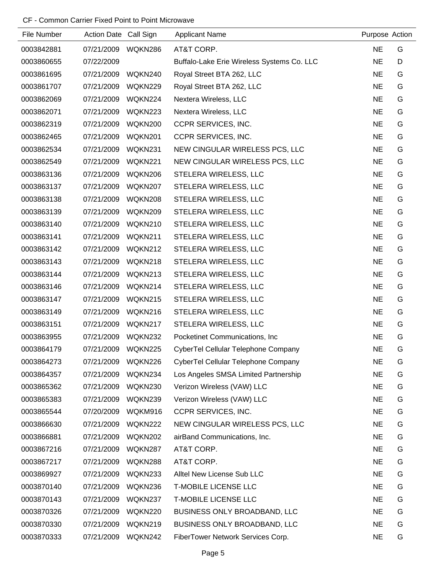| File Number | Action Date Call Sign |         | <b>Applicant Name</b>                      | Purpose Action |   |
|-------------|-----------------------|---------|--------------------------------------------|----------------|---|
| 0003842881  | 07/21/2009            | WQKN286 | AT&T CORP.                                 | <b>NE</b>      | G |
| 0003860655  | 07/22/2009            |         | Buffalo-Lake Erie Wireless Systems Co. LLC | <b>NE</b>      | D |
| 0003861695  | 07/21/2009            | WQKN240 | Royal Street BTA 262, LLC                  | <b>NE</b>      | G |
| 0003861707  | 07/21/2009            | WQKN229 | Royal Street BTA 262, LLC                  | <b>NE</b>      | G |
| 0003862069  | 07/21/2009            | WQKN224 | Nextera Wireless, LLC                      | <b>NE</b>      | G |
| 0003862071  | 07/21/2009            | WQKN223 | Nextera Wireless, LLC                      | <b>NE</b>      | G |
| 0003862319  | 07/21/2009            | WQKN200 | CCPR SERVICES, INC.                        | <b>NE</b>      | G |
| 0003862465  | 07/21/2009            | WQKN201 | CCPR SERVICES, INC.                        | <b>NE</b>      | G |
| 0003862534  | 07/21/2009            | WQKN231 | NEW CINGULAR WIRELESS PCS, LLC             | <b>NE</b>      | G |
| 0003862549  | 07/21/2009            | WQKN221 | NEW CINGULAR WIRELESS PCS, LLC             | <b>NE</b>      | G |
| 0003863136  | 07/21/2009            | WQKN206 | STELERA WIRELESS, LLC                      | <b>NE</b>      | G |
| 0003863137  | 07/21/2009            | WQKN207 | STELERA WIRELESS, LLC                      | <b>NE</b>      | G |
| 0003863138  | 07/21/2009            | WQKN208 | STELERA WIRELESS, LLC                      | <b>NE</b>      | G |
| 0003863139  | 07/21/2009            | WQKN209 | STELERA WIRELESS, LLC                      | <b>NE</b>      | G |
| 0003863140  | 07/21/2009            | WQKN210 | STELERA WIRELESS, LLC                      | <b>NE</b>      | G |
| 0003863141  | 07/21/2009            | WQKN211 | STELERA WIRELESS, LLC                      | <b>NE</b>      | G |
| 0003863142  | 07/21/2009            | WQKN212 | STELERA WIRELESS, LLC                      | <b>NE</b>      | G |
| 0003863143  | 07/21/2009            | WQKN218 | STELERA WIRELESS, LLC                      | <b>NE</b>      | G |
| 0003863144  | 07/21/2009            | WQKN213 | STELERA WIRELESS, LLC                      | <b>NE</b>      | G |
| 0003863146  | 07/21/2009            | WQKN214 | STELERA WIRELESS, LLC                      | <b>NE</b>      | G |
| 0003863147  | 07/21/2009            | WQKN215 | STELERA WIRELESS, LLC                      | <b>NE</b>      | G |
| 0003863149  | 07/21/2009            | WQKN216 | STELERA WIRELESS, LLC                      | <b>NE</b>      | G |
| 0003863151  | 07/21/2009            | WQKN217 | STELERA WIRELESS, LLC                      | <b>NE</b>      | G |
| 0003863955  | 07/21/2009            | WQKN232 | Pocketinet Communications, Inc             | <b>NE</b>      | G |
| 0003864179  | 07/21/2009            | WQKN225 | CyberTel Cellular Telephone Company        | <b>NE</b>      | G |
| 0003864273  | 07/21/2009            | WQKN226 | CyberTel Cellular Telephone Company        | <b>NE</b>      | G |
| 0003864357  | 07/21/2009            | WQKN234 | Los Angeles SMSA Limited Partnership       | <b>NE</b>      | G |
| 0003865362  | 07/21/2009            | WQKN230 | Verizon Wireless (VAW) LLC                 | <b>NE</b>      | G |
| 0003865383  | 07/21/2009            | WQKN239 | Verizon Wireless (VAW) LLC                 | <b>NE</b>      | G |
| 0003865544  | 07/20/2009            | WQKM916 | CCPR SERVICES, INC.                        | <b>NE</b>      | G |
| 0003866630  | 07/21/2009            | WQKN222 | NEW CINGULAR WIRELESS PCS, LLC             | <b>NE</b>      | G |
| 0003866881  | 07/21/2009            | WQKN202 | airBand Communications, Inc.               | <b>NE</b>      | G |
| 0003867216  | 07/21/2009            | WQKN287 | AT&T CORP.                                 | <b>NE</b>      | G |
| 0003867217  | 07/21/2009            | WQKN288 | AT&T CORP.                                 | <b>NE</b>      | G |
| 0003869927  | 07/21/2009            | WQKN233 | Alltel New License Sub LLC                 | <b>NE</b>      | G |
| 0003870140  | 07/21/2009            | WQKN236 | <b>T-MOBILE LICENSE LLC</b>                | <b>NE</b>      | G |
| 0003870143  | 07/21/2009            | WQKN237 | <b>T-MOBILE LICENSE LLC</b>                | <b>NE</b>      | G |
| 0003870326  | 07/21/2009            | WQKN220 | BUSINESS ONLY BROADBAND, LLC               | <b>NE</b>      | G |
| 0003870330  | 07/21/2009            | WQKN219 | BUSINESS ONLY BROADBAND, LLC               | <b>NE</b>      | G |
| 0003870333  | 07/21/2009            | WQKN242 | FiberTower Network Services Corp.          | <b>NE</b>      | G |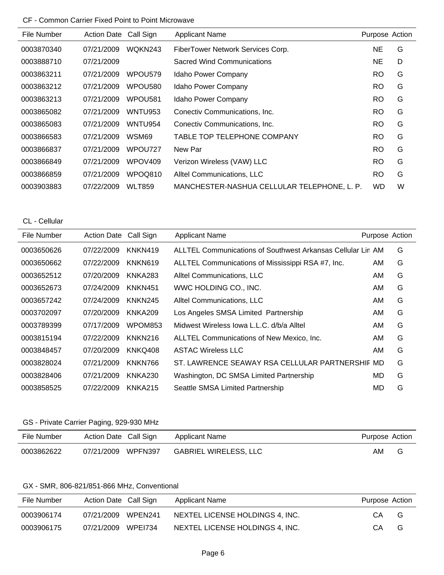| File Number | <b>Action Date</b> | Call Sign           | <b>Applicant Name</b>                       | Purpose Action |   |
|-------------|--------------------|---------------------|---------------------------------------------|----------------|---|
| 0003870340  | 07/21/2009         | WQKN243             | FiberTower Network Services Corp.           | NE             | G |
| 0003888710  | 07/21/2009         |                     | Sacred Wind Communications                  | NE             | D |
| 0003863211  | 07/21/2009         | WPOU579             | Idaho Power Company                         | RO.            | G |
| 0003863212  | 07/21/2009         | WPOU580             | Idaho Power Company                         | <b>RO</b>      | G |
| 0003863213  | 07/21/2009         | WPOU <sub>581</sub> | Idaho Power Company                         | <b>RO</b>      | G |
| 0003865082  | 07/21/2009         | WNTU953             | Conectiv Communications, Inc.               | <b>RO</b>      | G |
| 0003865083  | 07/21/2009         | WNTU954             | Conectiv Communications, Inc.               | RO.            | G |
| 0003866583  | 07/21/2009         | WSM69               | TABLE TOP TELEPHONE COMPANY                 | <b>RO</b>      | G |
| 0003866837  | 07/21/2009         | WPOU727             | New Par                                     | <b>RO</b>      | G |
| 0003866849  | 07/21/2009         | WPOV409             | Verizon Wireless (VAW) LLC                  | RO.            | G |
| 0003866859  | 07/21/2009         | WPOQ810             | Alltel Communications, LLC                  | <b>RO</b>      | G |
| 0003903883  | 07/22/2009         | <b>WLT859</b>       | MANCHESTER-NASHUA CELLULAR TELEPHONE, L. P. | <b>WD</b>      | W |

CL - Cellular

| File Number | <b>Action Date</b> | Call Sign      | <b>Applicant Name</b>                                       | Purpose Action |   |
|-------------|--------------------|----------------|-------------------------------------------------------------|----------------|---|
| 0003650626  | 07/22/2009         | KNKN419        | ALLTEL Communications of Southwest Arkansas Cellular Lin AM |                | G |
| 0003650662  | 07/22/2009         | KNKN619        | ALLTEL Communications of Mississippi RSA #7, Inc.           | AM.            | G |
| 0003652512  | 07/20/2009         | KNKA283        | Alltel Communications, LLC                                  | AM.            | G |
| 0003652673  | 07/24/2009         | KNKN451        | WWC HOLDING CO., INC.                                       | AM.            | G |
| 0003657242  | 07/24/2009         | KNKN245        | Alltel Communications, LLC                                  | AM.            | G |
| 0003702097  | 07/20/2009         | <b>KNKA209</b> | Los Angeles SMSA Limited Partnership                        | AM.            | G |
| 0003789399  | 07/17/2009         | WPOM853        | Midwest Wireless Iowa L.L.C. d/b/a Alltel                   | AM.            | G |
| 0003815194  | 07/22/2009         | KNKN216        | ALLTEL Communications of New Mexico, Inc.                   | AM.            | G |
| 0003848457  | 07/20/2009         | KNKQ408        | <b>ASTAC Wireless LLC</b>                                   | AM             | G |
| 0003828024  | 07/21/2009         | KNKN766        | ST. LAWRENCE SEAWAY RSA CELLULAR PARTNERSHIF MD             |                | G |
| 0003828406  | 07/21/2009         | KNKA230        | Washington, DC SMSA Limited Partnership                     | MD             | G |
| 0003858525  | 07/22/2009         | KNKA215        | Seattle SMSA Limited Partnership                            | MD             | G |

## GS - Private Carrier Paging, 929-930 MHz

| File Number | Action Date Call Sign | Applicant Name               | Purpose Action |   |
|-------------|-----------------------|------------------------------|----------------|---|
| 0003862622  | 07/21/2009 WPFN397    | <b>GABRIEL WIRELESS, LLC</b> | AM             | G |

## GX - SMR, 806-821/851-866 MHz, Conventional

| File Number | Action Date Call Sign |                | Applicant Name                  | Purpose Action |   |
|-------------|-----------------------|----------------|---------------------------------|----------------|---|
| 0003906174  | 07/21/2009            | WPEN241        | NEXTEL LICENSE HOLDINGS 4. INC. | CА             | G |
| 0003906175  | 07/21/2009            | <b>WPE1734</b> | NEXTEL LICENSE HOLDINGS 4. INC. | СA             | G |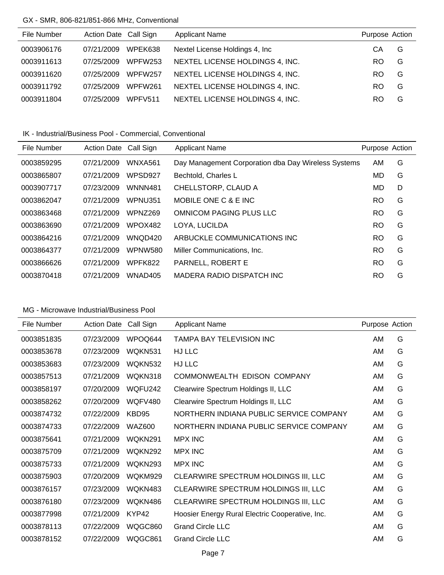### GX - SMR, 806-821/851-866 MHz, Conventional

| File Number | Action Date Call Sign |                | <b>Applicant Name</b>           | Purpose Action |   |
|-------------|-----------------------|----------------|---------------------------------|----------------|---|
| 0003906176  | 07/21/2009            | WPEK638        | Nextel License Holdings 4, Inc. | CА             | G |
| 0003911613  | 07/25/2009            | <b>WPFW253</b> | NEXTEL LICENSE HOLDINGS 4, INC. | RO.            | G |
| 0003911620  | 07/25/2009            | WPFW257        | NEXTEL LICENSE HOLDINGS 4, INC. | RO.            | G |
| 0003911792  | 07/25/2009            | WPFW261        | NEXTEL LICENSE HOLDINGS 4, INC. | RO.            | G |
| 0003911804  | 07/25/2009            | WPFV511        | NEXTEL LICENSE HOLDINGS 4, INC. | RO             | G |

IK - Industrial/Business Pool - Commercial, Conventional

| File Number | <b>Action Date</b> | Call Sign      | <b>Applicant Name</b>                               | Purpose Action |   |
|-------------|--------------------|----------------|-----------------------------------------------------|----------------|---|
| 0003859295  | 07/21/2009         | WNXA561        | Day Management Corporation dba Day Wireless Systems | AM             | G |
| 0003865807  | 07/21/2009         | WPSD927        | Bechtold, Charles L                                 | MD             | G |
| 0003907717  | 07/23/2009         | <b>WNNN481</b> | CHELLSTORP, CLAUD A                                 | MD             | D |
| 0003862047  | 07/21/2009         | <b>WPNU351</b> | MOBILE ONE C & E INC                                | <b>RO</b>      | G |
| 0003863468  | 07/21/2009         | WPNZ269        | OMNICOM PAGING PLUS LLC                             | <b>RO</b>      | G |
| 0003863690  | 07/21/2009         | WPOX482        | LOYA. LUCILDA                                       | <b>RO</b>      | G |
| 0003864216  | 07/21/2009         | WNQD420        | ARBUCKLE COMMUNICATIONS INC                         | <b>RO</b>      | G |
| 0003864377  | 07/21/2009         | <b>WPNW580</b> | Miller Communications, Inc.                         | <b>RO</b>      | G |
| 0003866626  | 07/21/2009         | <b>WPFK822</b> | PARNELL, ROBERT E                                   | <b>RO</b>      | G |
| 0003870418  | 07/21/2009         | WNAD405        | MADERA RADIO DISPATCH INC                           | RO             | G |
|             |                    |                |                                                     |                |   |

| File Number | <b>Action Date</b> | Call Sign      | <b>Applicant Name</b>                           | Purpose Action |   |
|-------------|--------------------|----------------|-------------------------------------------------|----------------|---|
| 0003851835  | 07/23/2009         | WPOQ644        | TAMPA BAY TELEVISION INC                        | AM             | G |
| 0003853678  | 07/23/2009         | WQKN531        | HJ LLC                                          | AM             | G |
| 0003853683  | 07/23/2009         | WQKN532        | HJ LLC                                          | AM             | G |
| 0003857513  | 07/21/2009         | WQKN318        | COMMONWEALTH EDISON COMPANY                     | AM             | G |
| 0003858197  | 07/20/2009         | WQFU242        | Clearwire Spectrum Holdings II, LLC             | AM             | G |
| 0003858262  | 07/20/2009         | <b>WQFV480</b> | Clearwire Spectrum Holdings II, LLC             | AM             | G |
| 0003874732  | 07/22/2009         | KBD95          | NORTHERN INDIANA PUBLIC SERVICE COMPANY         | AM             | G |
| 0003874733  | 07/22/2009         | <b>WAZ600</b>  | NORTHERN INDIANA PUBLIC SERVICE COMPANY         | AM             | G |
| 0003875641  | 07/21/2009         | WQKN291        | <b>MPX INC</b>                                  | AM             | G |
| 0003875709  | 07/21/2009         | <b>WOKN292</b> | <b>MPX INC</b>                                  | AM             | G |
| 0003875733  | 07/21/2009         | <b>WOKN293</b> | <b>MPX INC</b>                                  | AM             | G |
| 0003875903  | 07/20/2009         | WQKM929        | CLEARWIRE SPECTRUM HOLDINGS III, LLC            | AM             | G |
| 0003876157  | 07/23/2009         | WQKN483        | CLEARWIRE SPECTRUM HOLDINGS III, LLC            | AM             | G |
| 0003876180  | 07/23/2009         | WQKN486        | CLEARWIRE SPECTRUM HOLDINGS III, LLC            | AM             | G |
| 0003877998  | 07/21/2009         | KYP42          | Hoosier Energy Rural Electric Cooperative, Inc. | AM             | G |
| 0003878113  | 07/22/2009         | WQGC860        | <b>Grand Circle LLC</b>                         | AM             | G |
| 0003878152  | 07/22/2009         | WQGC861        | <b>Grand Circle LLC</b>                         | AM             | G |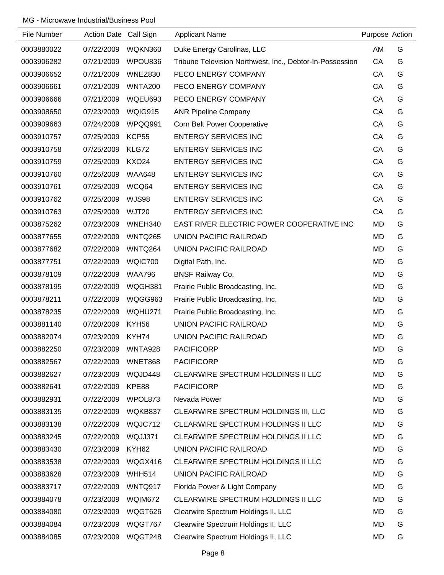| File Number | Action Date Call Sign |                | <b>Applicant Name</b>                                    | Purpose Action |   |
|-------------|-----------------------|----------------|----------------------------------------------------------|----------------|---|
| 0003880022  | 07/22/2009            | WQKN360        | Duke Energy Carolinas, LLC                               | <b>AM</b>      | G |
| 0003906282  | 07/21/2009            | WPOU836        | Tribune Television Northwest, Inc., Debtor-In-Possession | CA             | G |
| 0003906652  | 07/21/2009            | WNEZ830        | PECO ENERGY COMPANY                                      | CA             | G |
| 0003906661  | 07/21/2009            | <b>WNTA200</b> | PECO ENERGY COMPANY                                      | CA             | G |
| 0003906666  | 07/21/2009            | WQEU693        | PECO ENERGY COMPANY                                      | CA             | G |
| 0003908650  | 07/23/2009            | WQIG915        | <b>ANR Pipeline Company</b>                              | CA             | G |
| 0003909663  | 07/24/2009            | WPQQ991        | <b>Corn Belt Power Cooperative</b>                       | CA             | G |
| 0003910757  | 07/25/2009            | KCP55          | <b>ENTERGY SERVICES INC</b>                              | CA             | G |
| 0003910758  | 07/25/2009            | KLG72          | <b>ENTERGY SERVICES INC</b>                              | CA             | G |
| 0003910759  | 07/25/2009            | <b>KXO24</b>   | <b>ENTERGY SERVICES INC</b>                              | CA             | G |
| 0003910760  | 07/25/2009            | <b>WAA648</b>  | <b>ENTERGY SERVICES INC</b>                              | CA             | G |
| 0003910761  | 07/25/2009            | WCQ64          | <b>ENTERGY SERVICES INC</b>                              | CA             | G |
| 0003910762  | 07/25/2009            | <b>WJS98</b>   | <b>ENTERGY SERVICES INC</b>                              | CA             | G |
| 0003910763  | 07/25/2009            | <b>WJT20</b>   | <b>ENTERGY SERVICES INC</b>                              | CA             | G |
| 0003875262  | 07/23/2009            | WNEH340        | EAST RIVER ELECTRIC POWER COOPERATIVE INC                | <b>MD</b>      | G |
| 0003877655  | 07/22/2009            | <b>WNTQ265</b> | UNION PACIFIC RAILROAD                                   | MD             | G |
| 0003877682  | 07/22/2009            | WNTQ264        | UNION PACIFIC RAILROAD                                   | MD             | G |
| 0003877751  | 07/22/2009            | WQIC700        | Digital Path, Inc.                                       | MD             | G |
| 0003878109  | 07/22/2009            | <b>WAA796</b>  | <b>BNSF Railway Co.</b>                                  | MD             | G |
| 0003878195  | 07/22/2009            | WQGH381        | Prairie Public Broadcasting, Inc.                        | MD             | G |
| 0003878211  | 07/22/2009            | WQGG963        | Prairie Public Broadcasting, Inc.                        | MD             | G |
| 0003878235  | 07/22/2009            | WQHU271        | Prairie Public Broadcasting, Inc.                        | MD             | G |
| 0003881140  | 07/20/2009            | KYH56          | UNION PACIFIC RAILROAD                                   | MD             | G |
| 0003882074  | 07/23/2009            | KYH74          | UNION PACIFIC RAILROAD                                   | <b>MD</b>      | G |
| 0003882250  | 07/23/2009            | WNTA928        | <b>PACIFICORP</b>                                        | <b>MD</b>      | G |
| 0003882567  | 07/22/2009            | WNET868        | <b>PACIFICORP</b>                                        | <b>MD</b>      | G |
| 0003882627  | 07/23/2009            | WQJD448        | CLEARWIRE SPECTRUM HOLDINGS II LLC                       | MD             | G |
| 0003882641  | 07/22/2009            | KPE88          | <b>PACIFICORP</b>                                        | MD             | G |
| 0003882931  | 07/22/2009            | WPOL873        | Nevada Power                                             | MD             | G |
| 0003883135  | 07/22/2009            | WQKB837        | CLEARWIRE SPECTRUM HOLDINGS III, LLC                     | MD             | G |
| 0003883138  | 07/22/2009            | WQJC712        | CLEARWIRE SPECTRUM HOLDINGS II LLC                       | MD             | G |
| 0003883245  | 07/22/2009            | WQJJ371        | CLEARWIRE SPECTRUM HOLDINGS II LLC                       | MD             | G |
| 0003883430  | 07/23/2009            | KYH62          | <b>UNION PACIFIC RAILROAD</b>                            | MD             | G |
| 0003883538  | 07/22/2009            | WQGX416        | CLEARWIRE SPECTRUM HOLDINGS II LLC                       | MD             | G |
| 0003883628  | 07/23/2009            | <b>WHH514</b>  | <b>UNION PACIFIC RAILROAD</b>                            | MD             | G |
| 0003883717  | 07/22/2009            | WNTQ917        | Florida Power & Light Company                            | MD             | G |
| 0003884078  | 07/23/2009            | WQIM672        | CLEARWIRE SPECTRUM HOLDINGS II LLC                       | MD             | G |
| 0003884080  | 07/23/2009            | WQGT626        | Clearwire Spectrum Holdings II, LLC                      | MD             | G |
| 0003884084  | 07/23/2009            | WQGT767        | Clearwire Spectrum Holdings II, LLC                      | MD             | G |
| 0003884085  | 07/23/2009            | WQGT248        | Clearwire Spectrum Holdings II, LLC                      | <b>MD</b>      | G |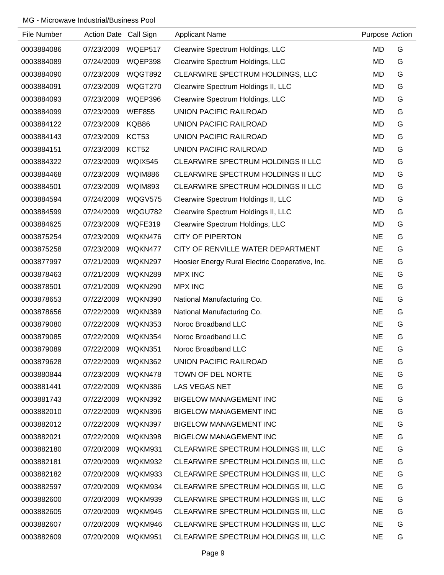| File Number | Action Date Call Sign |                | <b>Applicant Name</b>                           | Purpose Action |   |
|-------------|-----------------------|----------------|-------------------------------------------------|----------------|---|
| 0003884086  | 07/23/2009            | WQEP517        | Clearwire Spectrum Holdings, LLC                | MD             | G |
| 0003884089  | 07/24/2009            | WQEP398        | Clearwire Spectrum Holdings, LLC                | <b>MD</b>      | G |
| 0003884090  | 07/23/2009            | WQGT892        | CLEARWIRE SPECTRUM HOLDINGS, LLC                | MD             | G |
| 0003884091  | 07/23/2009            | WQGT270        | Clearwire Spectrum Holdings II, LLC             | <b>MD</b>      | G |
| 0003884093  | 07/23/2009            | WQEP396        | Clearwire Spectrum Holdings, LLC                | <b>MD</b>      | G |
| 0003884099  | 07/23/2009            | <b>WEF855</b>  | UNION PACIFIC RAILROAD                          | <b>MD</b>      | G |
| 0003884122  | 07/23/2009            | KQB86          | <b>UNION PACIFIC RAILROAD</b>                   | <b>MD</b>      | G |
| 0003884143  | 07/23/2009            | KCT53          | <b>UNION PACIFIC RAILROAD</b>                   | <b>MD</b>      | G |
| 0003884151  | 07/23/2009            | KCT52          | <b>UNION PACIFIC RAILROAD</b>                   | MD             | G |
| 0003884322  | 07/23/2009            | WQIX545        | CLEARWIRE SPECTRUM HOLDINGS II LLC              | MD             | G |
| 0003884468  | 07/23/2009            | <b>WQIM886</b> | CLEARWIRE SPECTRUM HOLDINGS II LLC              | MD             | G |
| 0003884501  | 07/23/2009            | <b>WQIM893</b> | CLEARWIRE SPECTRUM HOLDINGS II LLC              | MD             | G |
| 0003884594  | 07/24/2009            | WQGV575        | Clearwire Spectrum Holdings II, LLC             | <b>MD</b>      | G |
| 0003884599  | 07/24/2009            | WQGU782        | Clearwire Spectrum Holdings II, LLC             | <b>MD</b>      | G |
| 0003884625  | 07/23/2009            | WQFE319        | Clearwire Spectrum Holdings, LLC                | MD             | G |
| 0003875254  | 07/23/2009            | WQKN476        | <b>CITY OF PIPERTON</b>                         | <b>NE</b>      | G |
| 0003875258  | 07/23/2009            | WQKN477        | CITY OF RENVILLE WATER DEPARTMENT               | <b>NE</b>      | G |
| 0003877997  | 07/21/2009            | WQKN297        | Hoosier Energy Rural Electric Cooperative, Inc. | <b>NE</b>      | G |
| 0003878463  | 07/21/2009            | WQKN289        | <b>MPX INC</b>                                  | <b>NE</b>      | G |
| 0003878501  | 07/21/2009            | WQKN290        | <b>MPX INC</b>                                  | <b>NE</b>      | G |
| 0003878653  | 07/22/2009            | WQKN390        | National Manufacturing Co.                      | <b>NE</b>      | G |
| 0003878656  | 07/22/2009            | WQKN389        | National Manufacturing Co.                      | <b>NE</b>      | G |
| 0003879080  | 07/22/2009            | WQKN353        | Noroc Broadband LLC                             | <b>NE</b>      | G |
| 0003879085  | 07/22/2009            | WQKN354        | Noroc Broadband LLC                             | <b>NE</b>      | G |
| 0003879089  | 07/22/2009            | WQKN351        | Noroc Broadband LLC                             | <b>NE</b>      | G |
| 0003879628  | 07/22/2009            | WQKN362        | UNION PACIFIC RAILROAD                          | <b>NE</b>      | G |
| 0003880844  | 07/23/2009            | WQKN478        | TOWN OF DEL NORTE                               | <b>NE</b>      | G |
| 0003881441  | 07/22/2009            | WQKN386        | LAS VEGAS NET                                   | <b>NE</b>      | G |
| 0003881743  | 07/22/2009            | WQKN392        | <b>BIGELOW MANAGEMENT INC</b>                   | <b>NE</b>      | G |
| 0003882010  | 07/22/2009            | WQKN396        | <b>BIGELOW MANAGEMENT INC</b>                   | <b>NE</b>      | G |
| 0003882012  | 07/22/2009            | WQKN397        | <b>BIGELOW MANAGEMENT INC</b>                   | <b>NE</b>      | G |
| 0003882021  | 07/22/2009            | WQKN398        | <b>BIGELOW MANAGEMENT INC</b>                   | <b>NE</b>      | G |
| 0003882180  | 07/20/2009            | WQKM931        | CLEARWIRE SPECTRUM HOLDINGS III, LLC            | <b>NE</b>      | G |
| 0003882181  | 07/20/2009            | WQKM932        | CLEARWIRE SPECTRUM HOLDINGS III, LLC            | <b>NE</b>      | G |
| 0003882182  | 07/20/2009            | WQKM933        | CLEARWIRE SPECTRUM HOLDINGS III, LLC            | <b>NE</b>      | G |
| 0003882597  | 07/20/2009            | WQKM934        | CLEARWIRE SPECTRUM HOLDINGS III, LLC            | <b>NE</b>      | G |
| 0003882600  | 07/20/2009            | WQKM939        | CLEARWIRE SPECTRUM HOLDINGS III, LLC            | <b>NE</b>      | G |
| 0003882605  | 07/20/2009            | WQKM945        | CLEARWIRE SPECTRUM HOLDINGS III, LLC            | <b>NE</b>      | G |
| 0003882607  | 07/20/2009            | WQKM946        | CLEARWIRE SPECTRUM HOLDINGS III, LLC            | <b>NE</b>      | G |
| 0003882609  | 07/20/2009            | WQKM951        | CLEARWIRE SPECTRUM HOLDINGS III, LLC            | <b>NE</b>      | G |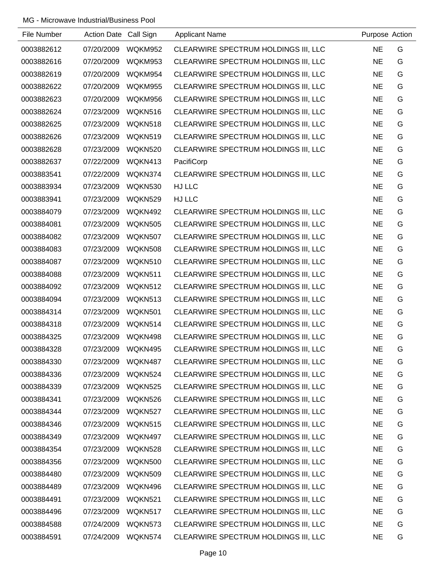| File Number | <b>Action Date</b> | Call Sign      | <b>Applicant Name</b>                | Purpose Action |   |
|-------------|--------------------|----------------|--------------------------------------|----------------|---|
| 0003882612  | 07/20/2009         | WQKM952        | CLEARWIRE SPECTRUM HOLDINGS III, LLC | <b>NE</b>      | G |
| 0003882616  | 07/20/2009         | WQKM953        | CLEARWIRE SPECTRUM HOLDINGS III, LLC | <b>NE</b>      | G |
| 0003882619  | 07/20/2009         | WQKM954        | CLEARWIRE SPECTRUM HOLDINGS III, LLC | <b>NE</b>      | G |
| 0003882622  | 07/20/2009         | WQKM955        | CLEARWIRE SPECTRUM HOLDINGS III, LLC | <b>NE</b>      | G |
| 0003882623  | 07/20/2009         | WQKM956        | CLEARWIRE SPECTRUM HOLDINGS III, LLC | <b>NE</b>      | G |
| 0003882624  | 07/23/2009         | WQKN516        | CLEARWIRE SPECTRUM HOLDINGS III, LLC | <b>NE</b>      | G |
| 0003882625  | 07/23/2009         | WQKN518        | CLEARWIRE SPECTRUM HOLDINGS III, LLC | <b>NE</b>      | G |
| 0003882626  | 07/23/2009         | WQKN519        | CLEARWIRE SPECTRUM HOLDINGS III, LLC | <b>NE</b>      | G |
| 0003882628  | 07/23/2009         | WQKN520        | CLEARWIRE SPECTRUM HOLDINGS III, LLC | <b>NE</b>      | G |
| 0003882637  | 07/22/2009         | WQKN413        | PacifiCorp                           | <b>NE</b>      | G |
| 0003883541  | 07/22/2009         | WQKN374        | CLEARWIRE SPECTRUM HOLDINGS III, LLC | <b>NE</b>      | G |
| 0003883934  | 07/23/2009         | WQKN530        | HJ LLC                               | <b>NE</b>      | G |
| 0003883941  | 07/23/2009         | WQKN529        | HJ LLC                               | <b>NE</b>      | G |
| 0003884079  | 07/23/2009         | WQKN492        | CLEARWIRE SPECTRUM HOLDINGS III, LLC | <b>NE</b>      | G |
| 0003884081  | 07/23/2009         | <b>WQKN505</b> | CLEARWIRE SPECTRUM HOLDINGS III, LLC | <b>NE</b>      | G |
| 0003884082  | 07/23/2009         | WQKN507        | CLEARWIRE SPECTRUM HOLDINGS III, LLC | <b>NE</b>      | G |
| 0003884083  | 07/23/2009         | <b>WQKN508</b> | CLEARWIRE SPECTRUM HOLDINGS III, LLC | <b>NE</b>      | G |
| 0003884087  | 07/23/2009         | WQKN510        | CLEARWIRE SPECTRUM HOLDINGS III, LLC | <b>NE</b>      | G |
| 0003884088  | 07/23/2009         | WQKN511        | CLEARWIRE SPECTRUM HOLDINGS III, LLC | <b>NE</b>      | G |
| 0003884092  | 07/23/2009         | WQKN512        | CLEARWIRE SPECTRUM HOLDINGS III, LLC | <b>NE</b>      | G |
| 0003884094  | 07/23/2009         | WQKN513        | CLEARWIRE SPECTRUM HOLDINGS III, LLC | <b>NE</b>      | G |
| 0003884314  | 07/23/2009         | WQKN501        | CLEARWIRE SPECTRUM HOLDINGS III, LLC | <b>NE</b>      | G |
| 0003884318  | 07/23/2009         | WQKN514        | CLEARWIRE SPECTRUM HOLDINGS III, LLC | <b>NE</b>      | G |
| 0003884325  | 07/23/2009         | WQKN498        | CLEARWIRE SPECTRUM HOLDINGS III, LLC | <b>NE</b>      | G |
| 0003884328  | 07/23/2009         | WQKN495        | CLEARWIRE SPECTRUM HOLDINGS III, LLC | <b>NE</b>      | G |
| 0003884330  | 07/23/2009         | WQKN487        | CLEARWIRE SPECTRUM HOLDINGS III, LLC | <b>NE</b>      | G |
| 0003884336  | 07/23/2009         | WQKN524        | CLEARWIRE SPECTRUM HOLDINGS III, LLC | <b>NE</b>      | G |
| 0003884339  | 07/23/2009         | WQKN525        | CLEARWIRE SPECTRUM HOLDINGS III, LLC | <b>NE</b>      | G |
| 0003884341  | 07/23/2009         | WQKN526        | CLEARWIRE SPECTRUM HOLDINGS III, LLC | <b>NE</b>      | G |
| 0003884344  | 07/23/2009         | WQKN527        | CLEARWIRE SPECTRUM HOLDINGS III, LLC | <b>NE</b>      | G |
| 0003884346  | 07/23/2009         | WQKN515        | CLEARWIRE SPECTRUM HOLDINGS III, LLC | <b>NE</b>      | G |
| 0003884349  | 07/23/2009         | WQKN497        | CLEARWIRE SPECTRUM HOLDINGS III, LLC | <b>NE</b>      | G |
| 0003884354  | 07/23/2009         | WQKN528        | CLEARWIRE SPECTRUM HOLDINGS III, LLC | <b>NE</b>      | G |
| 0003884356  | 07/23/2009         | WQKN500        | CLEARWIRE SPECTRUM HOLDINGS III, LLC | <b>NE</b>      | G |
| 0003884480  | 07/23/2009         | WQKN509        | CLEARWIRE SPECTRUM HOLDINGS III, LLC | <b>NE</b>      | G |
| 0003884489  | 07/23/2009         | WQKN496        | CLEARWIRE SPECTRUM HOLDINGS III, LLC | <b>NE</b>      | G |
| 0003884491  | 07/23/2009         | WQKN521        | CLEARWIRE SPECTRUM HOLDINGS III, LLC | <b>NE</b>      | G |
| 0003884496  | 07/23/2009         | WQKN517        | CLEARWIRE SPECTRUM HOLDINGS III, LLC | <b>NE</b>      | G |
| 0003884588  | 07/24/2009         | WQKN573        | CLEARWIRE SPECTRUM HOLDINGS III, LLC | <b>NE</b>      | G |
| 0003884591  | 07/24/2009         | WQKN574        | CLEARWIRE SPECTRUM HOLDINGS III, LLC | <b>NE</b>      | G |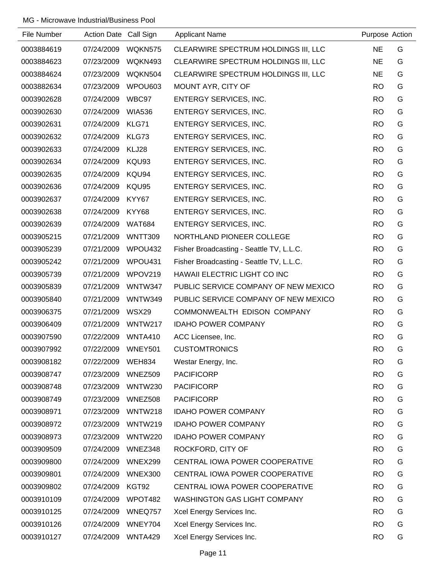| File Number | Action Date Call Sign |                | <b>Applicant Name</b>                    | Purpose Action |   |
|-------------|-----------------------|----------------|------------------------------------------|----------------|---|
| 0003884619  | 07/24/2009            | WQKN575        | CLEARWIRE SPECTRUM HOLDINGS III, LLC     | <b>NE</b>      | G |
| 0003884623  | 07/23/2009            | WQKN493        | CLEARWIRE SPECTRUM HOLDINGS III, LLC     | <b>NE</b>      | G |
| 0003884624  | 07/23/2009            | WQKN504        | CLEARWIRE SPECTRUM HOLDINGS III, LLC     | <b>NE</b>      | G |
| 0003882634  | 07/23/2009            | WPOU603        | MOUNT AYR, CITY OF                       | <b>RO</b>      | G |
| 0003902628  | 07/24/2009            | WBC97          | ENTERGY SERVICES, INC.                   | <b>RO</b>      | G |
| 0003902630  | 07/24/2009            | <b>WIA536</b>  | ENTERGY SERVICES, INC.                   | <b>RO</b>      | G |
| 0003902631  | 07/24/2009            | KLG71          | ENTERGY SERVICES, INC.                   | <b>RO</b>      | G |
| 0003902632  | 07/24/2009            | KLG73          | ENTERGY SERVICES, INC.                   | <b>RO</b>      | G |
| 0003902633  | 07/24/2009            | KLJ28          | ENTERGY SERVICES, INC.                   | <b>RO</b>      | G |
| 0003902634  | 07/24/2009            | KQU93          | ENTERGY SERVICES, INC.                   | <b>RO</b>      | G |
| 0003902635  | 07/24/2009            | KQU94          | ENTERGY SERVICES, INC.                   | <b>RO</b>      | G |
| 0003902636  | 07/24/2009            | KQU95          | ENTERGY SERVICES, INC.                   | <b>RO</b>      | G |
| 0003902637  | 07/24/2009            | KYY67          | ENTERGY SERVICES, INC.                   | <b>RO</b>      | G |
| 0003902638  | 07/24/2009            | KYY68          | <b>ENTERGY SERVICES, INC.</b>            | <b>RO</b>      | G |
| 0003902639  | 07/24/2009            | <b>WAT684</b>  | <b>ENTERGY SERVICES, INC.</b>            | <b>RO</b>      | G |
| 0003905215  | 07/21/2009            | <b>WNTT309</b> | NORTHLAND PIONEER COLLEGE                | <b>RO</b>      | G |
| 0003905239  | 07/21/2009            | WPOU432        | Fisher Broadcasting - Seattle TV, L.L.C. | <b>RO</b>      | G |
| 0003905242  | 07/21/2009            | WPOU431        | Fisher Broadcasting - Seattle TV, L.L.C. | <b>RO</b>      | G |
| 0003905739  | 07/21/2009            | WPOV219        | HAWAII ELECTRIC LIGHT CO INC             | <b>RO</b>      | G |
| 0003905839  | 07/21/2009            | WNTW347        | PUBLIC SERVICE COMPANY OF NEW MEXICO     | <b>RO</b>      | G |
| 0003905840  | 07/21/2009            | WNTW349        | PUBLIC SERVICE COMPANY OF NEW MEXICO     | <b>RO</b>      | G |
| 0003906375  | 07/21/2009            | WSX29          | COMMONWEALTH EDISON COMPANY              | <b>RO</b>      | G |
| 0003906409  | 07/21/2009            | WNTW217        | <b>IDAHO POWER COMPANY</b>               | <b>RO</b>      | G |
| 0003907590  | 07/22/2009            | WNTA410        | ACC Licensee, Inc.                       | <b>RO</b>      | G |
| 0003907992  | 07/22/2009            | WNEY501        | <b>CUSTOMTRONICS</b>                     | <b>RO</b>      | G |
| 0003908182  | 07/22/2009            | WEH834         | Westar Energy, Inc.                      | <b>RO</b>      | G |
| 0003908747  | 07/23/2009            | WNEZ509        | <b>PACIFICORP</b>                        | <b>RO</b>      | G |
| 0003908748  | 07/23/2009            | WNTW230        | <b>PACIFICORP</b>                        | <b>RO</b>      | G |
| 0003908749  | 07/23/2009            | WNEZ508        | <b>PACIFICORP</b>                        | <b>RO</b>      | G |
| 0003908971  | 07/23/2009            | WNTW218        | <b>IDAHO POWER COMPANY</b>               | <b>RO</b>      | G |
| 0003908972  | 07/23/2009            | WNTW219        | <b>IDAHO POWER COMPANY</b>               | <b>RO</b>      | G |
| 0003908973  | 07/23/2009            | <b>WNTW220</b> | <b>IDAHO POWER COMPANY</b>               | <b>RO</b>      | G |
| 0003909509  | 07/24/2009            | WNEZ348        | ROCKFORD, CITY OF                        | <b>RO</b>      | G |
| 0003909800  | 07/24/2009            | WNEX299        | CENTRAL IOWA POWER COOPERATIVE           | <b>RO</b>      | G |
| 0003909801  | 07/24/2009            | WNEX300        | CENTRAL IOWA POWER COOPERATIVE           | <b>RO</b>      | G |
| 0003909802  | 07/24/2009            | KGT92          | CENTRAL IOWA POWER COOPERATIVE           | <b>RO</b>      | G |
| 0003910109  | 07/24/2009            | WPOT482        | <b>WASHINGTON GAS LIGHT COMPANY</b>      | <b>RO</b>      | G |
| 0003910125  | 07/24/2009            | WNEQ757        | Xcel Energy Services Inc.                | <b>RO</b>      | G |
| 0003910126  | 07/24/2009            | WNEY704        | Xcel Energy Services Inc.                | <b>RO</b>      | G |
| 0003910127  | 07/24/2009            | WNTA429        | Xcel Energy Services Inc.                | <b>RO</b>      | G |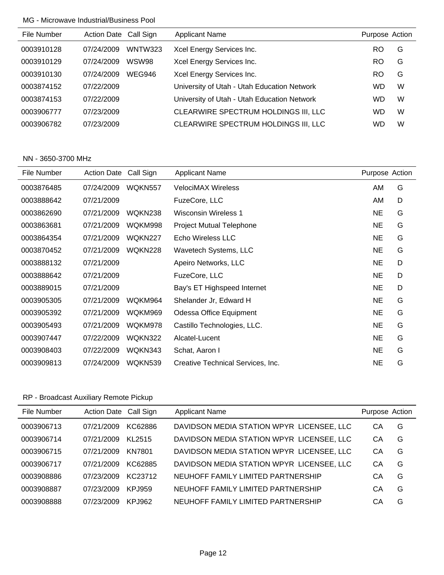| File Number | Action Date Call Sign |               | <b>Applicant Name</b>                       | Purpose Action |   |
|-------------|-----------------------|---------------|---------------------------------------------|----------------|---|
| 0003910128  | 07/24/2009            | WNTW323       | Xcel Energy Services Inc.                   | RO             | G |
| 0003910129  | 07/24/2009            | WSW98         | Xcel Energy Services Inc.                   | RO             | G |
| 0003910130  | 07/24/2009            | <b>WEG946</b> | Xcel Energy Services Inc.                   | RO             | G |
| 0003874152  | 07/22/2009            |               | University of Utah - Utah Education Network | WD             | W |
| 0003874153  | 07/22/2009            |               | University of Utah - Utah Education Network | WD             | W |
| 0003906777  | 07/23/2009            |               | CLEARWIRE SPECTRUM HOLDINGS III, LLC        | WD             | W |
| 0003906782  | 07/23/2009            |               | CLEARWIRE SPECTRUM HOLDINGS III, LLC        | WD             | W |
|             |                       |               |                                             |                |   |

#### NN - 3650-3700 MHz

| File Number | Action Date Call Sign |                | <b>Applicant Name</b>             | Purpose Action |   |
|-------------|-----------------------|----------------|-----------------------------------|----------------|---|
| 0003876485  | 07/24/2009            | WQKN557        | <b>VelociMAX Wireless</b>         | AM.            | G |
| 0003888642  | 07/21/2009            |                | FuzeCore, LLC                     | AM             | D |
| 0003862690  | 07/21/2009            | WQKN238        | Wisconsin Wireless 1              | <b>NE</b>      | G |
| 0003863681  | 07/21/2009            | WQKM998        | Project Mutual Telephone          | <b>NE</b>      | G |
| 0003864354  | 07/21/2009            | WQKN227        | Echo Wireless LLC                 | <b>NE</b>      | G |
| 0003870452  | 07/21/2009            | WQKN228        | Wavetech Systems, LLC             | <b>NE</b>      | G |
| 0003888132  | 07/21/2009            |                | Apeiro Networks, LLC              | <b>NE</b>      | D |
| 0003888642  | 07/21/2009            |                | FuzeCore, LLC                     | <b>NE</b>      | D |
| 0003889015  | 07/21/2009            |                | Bay's ET Highspeed Internet       | NE             | D |
| 0003905305  | 07/21/2009            | WQKM964        | Shelander Jr, Edward H            | <b>NE</b>      | G |
| 0003905392  | 07/21/2009            | WQKM969        | Odessa Office Equipment           | <b>NE</b>      | G |
| 0003905493  | 07/21/2009            | WQKM978        | Castillo Technologies, LLC.       | NE             | G |
| 0003907447  | 07/22/2009            | <b>WOKN322</b> | Alcatel-Lucent                    | <b>NE</b>      | G |
| 0003908403  | 07/22/2009            | WQKN343        | Schat, Aaron I                    | <b>NE</b>      | G |
| 0003909813  | 07/24/2009            | WQKN539        | Creative Technical Services, Inc. | <b>NE</b>      | G |

# RP - Broadcast Auxiliary Remote Pickup

| File Number | Action Date Call Sign |          | <b>Applicant Name</b>                     | Purpose Action |   |
|-------------|-----------------------|----------|-------------------------------------------|----------------|---|
| 0003906713  | 07/21/2009            | KC62886  | DAVIDSON MEDIA STATION WPYR LICENSEE, LLC | CА             | G |
| 0003906714  | 07/21/2009            | KI 2515  | DAVIDSON MEDIA STATION WPYR LICENSEE, LLC | CА             | G |
| 0003906715  | 07/21/2009            | KN7801   | DAVIDSON MEDIA STATION WPYR LICENSEE, LLC | CА             | G |
| 0003906717  | 07/21/2009            | KC62885  | DAVIDSON MEDIA STATION WPYR LICENSEE, LLC | CА             | G |
| 0003908886  | 07/23/2009            | KC23712  | NEUHOFF FAMILY LIMITED PARTNERSHIP        | CА             | G |
| 0003908887  | 07/23/2009            | KP. 1959 | NEUHOFF FAMILY LIMITED PARTNERSHIP        | CА             | G |
| 0003908888  | 07/23/2009            | KP. 1962 | NEUHOFF FAMILY LIMITED PARTNERSHIP        | CА             | G |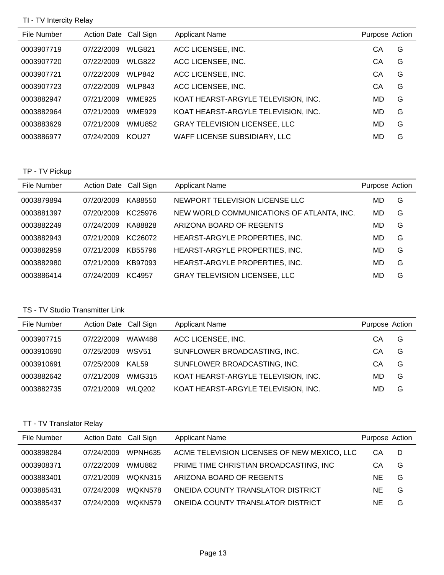## TI - TV Intercity Relay

| File Number | Action Date Call Sign |               | <b>Applicant Name</b>                | Purpose Action |   |
|-------------|-----------------------|---------------|--------------------------------------|----------------|---|
| 0003907719  | 07/22/2009            | <b>WLG821</b> | ACC LICENSEE, INC.                   | CА             | G |
| 0003907720  | 07/22/2009            | <b>WLG822</b> | ACC LICENSEE, INC.                   | CА             | G |
| 0003907721  | 07/22/2009            | <b>WLP842</b> | ACC LICENSEE, INC.                   | СA             | G |
| 0003907723  | 07/22/2009            | <b>WLP843</b> | ACC LICENSEE, INC.                   | СA             | G |
| 0003882947  | 07/21/2009            | <b>WME925</b> | KOAT HEARST-ARGYLE TELEVISION, INC.  | MD             | G |
| 0003882964  | 07/21/2009            | <b>WME929</b> | KOAT HEARST-ARGYLE TELEVISION, INC.  | MD             | G |
| 0003883629  | 07/21/2009            | <b>WMU852</b> | <b>GRAY TELEVISION LICENSEE, LLC</b> | MD             | G |
| 0003886977  | 07/24/2009            | <b>KOU27</b>  | WAFF LICENSE SUBSIDIARY, LLC         | MD             | G |

## TP - TV Pickup

| File Number | Action Date Call Sign |         | <b>Applicant Name</b>                     | Purpose Action |   |
|-------------|-----------------------|---------|-------------------------------------------|----------------|---|
| 0003879894  | 07/20/2009            | KA88550 | NEWPORT TELEVISION LICENSE LLC            | MD             | G |
| 0003881397  | 07/20/2009            | KC25976 | NEW WORLD COMMUNICATIONS OF ATLANTA, INC. | MD             | G |
| 0003882249  | 07/24/2009            | KA88828 | ARIZONA BOARD OF REGENTS                  | MD             | G |
| 0003882943  | 07/21/2009            | KC26072 | HEARST-ARGYLE PROPERTIES, INC.            | MD             | G |
| 0003882959  | 07/21/2009            | KB55796 | HEARST-ARGYLE PROPERTIES, INC.            | MD             | G |
| 0003882980  | 07/21/2009            | KB97093 | HEARST-ARGYLE PROPERTIES, INC.            | MD             | G |
| 0003886414  | 07/24/2009            | KC4957  | <b>GRAY TELEVISION LICENSEE, LLC</b>      | MD             | G |

## TS - TV Studio Transmitter Link

| File Number | Action Date Call Sign |                   | <b>Applicant Name</b>               | Purpose Action |   |
|-------------|-----------------------|-------------------|-------------------------------------|----------------|---|
| 0003907715  | 07/22/2009            | WAW488            | ACC LICENSEE, INC.                  | CА             | G |
| 0003910690  | 07/25/2009            | WSV <sub>51</sub> | SUNFLOWER BROADCASTING, INC.        | CА             | G |
| 0003910691  | 07/25/2009            | KAL <sub>59</sub> | SUNFLOWER BROADCASTING, INC.        | CА             | G |
| 0003882642  | 07/21/2009            | <b>WMG315</b>     | KOAT HEARST-ARGYLE TELEVISION, INC. | MD             | G |
| 0003882735  | 07/21/2009            | <b>WLQ202</b>     | KOAT HEARST-ARGYLE TELEVISION, INC. | MD             | G |

## TT - TV Translator Relay

| File Number | Action Date Call Sign |                     | <b>Applicant Name</b>                       | Purpose Action |   |
|-------------|-----------------------|---------------------|---------------------------------------------|----------------|---|
| 0003898284  | 07/24/2009            | WPNH635             | ACME TELEVISION LICENSES OF NEW MEXICO, LLC | CА             | D |
| 0003908371  | 07/22/2009            | WMU882              | PRIME TIME CHRISTIAN BROADCASTING, INC      | CА             | G |
| 0003883401  | 07/21/2009            | <b>WOKN315</b>      | ARIZONA BOARD OF REGENTS                    | NE.            | G |
| 0003885431  | 07/24/2009            | WOKN578             | ONEIDA COUNTY TRANSLATOR DISTRICT           | NE.            | G |
| 0003885437  | 07/24/2009            | WOKN <sub>579</sub> | ONEIDA COUNTY TRANSLATOR DISTRICT           | ΝE             | G |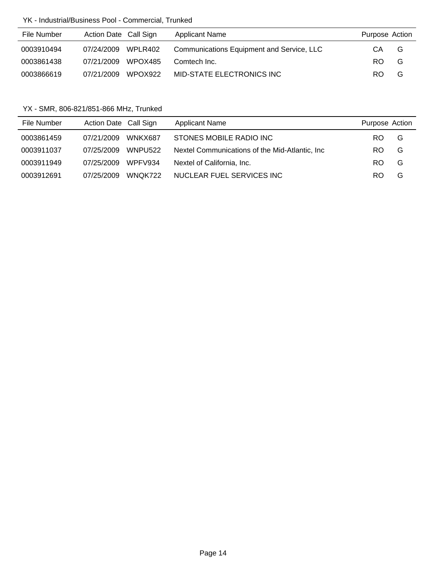## YK - Industrial/Business Pool - Commercial, Trunked

| File Number | Action Date Call Sign |         | <b>Applicant Name</b>                     | Purpose Action |   |
|-------------|-----------------------|---------|-------------------------------------------|----------------|---|
| 0003910494  | 07/24/2009 WPLR402    |         | Communications Equipment and Service, LLC | CA             | G |
| 0003861438  | 07/21/2009            | WPOX485 | Comtech Inc.                              | RO.            | G |
| 0003866619  | 07/21/2009            | WPOX922 | MID-STATE ELECTRONICS INC                 | RO.            | G |

YX - SMR, 806-821/851-866 MHz, Trunked

| File Number | Action Date Call Sign |                | <b>Applicant Name</b>                           | Purpose Action |   |
|-------------|-----------------------|----------------|-------------------------------------------------|----------------|---|
| 0003861459  | 07/21/2009            | WNKX687        | STONES MOBILE RADIO INC                         | RO             | G |
| 0003911037  | 07/25/2009            | <b>WNPU522</b> | Nextel Communications of the Mid-Atlantic, Inc. | RO             | G |
| 0003911949  | 07/25/2009            | WPFV934        | Nextel of California, Inc.                      | RO             | G |
| 0003912691  | 07/25/2009            | WNOK722        | NUCLEAR FUEL SERVICES INC                       | RO             | G |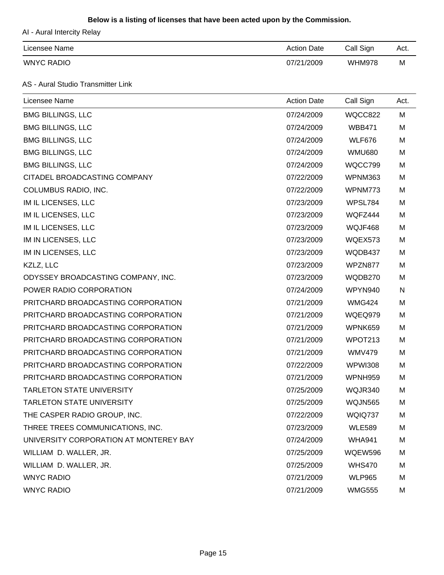### **Below is a listing of licenses that have been acted upon by the Commission.**

AI - Aural Intercity Relay

| Licensee Name     | <b>Action Date</b> | Call Sign     | Act. |
|-------------------|--------------------|---------------|------|
| <b>WNYC RADIO</b> | 07/21/2009         | <b>WHM978</b> | M    |

AS - Aural Studio Transmitter Link

| Licensee Name                          | <b>Action Date</b> | Call Sign      | Act. |
|----------------------------------------|--------------------|----------------|------|
| <b>BMG BILLINGS, LLC</b>               | 07/24/2009         | WQCC822        | M    |
| <b>BMG BILLINGS, LLC</b>               | 07/24/2009         | <b>WBB471</b>  | M    |
| <b>BMG BILLINGS, LLC</b>               | 07/24/2009         | <b>WLF676</b>  | M    |
| <b>BMG BILLINGS, LLC</b>               | 07/24/2009         | <b>WMU680</b>  | M    |
| <b>BMG BILLINGS, LLC</b>               | 07/24/2009         | WQCC799        | M    |
| CITADEL BROADCASTING COMPANY           | 07/22/2009         | WPNM363        | M    |
| COLUMBUS RADIO, INC.                   | 07/22/2009         | WPNM773        | M    |
| IM IL LICENSES, LLC                    | 07/23/2009         | WPSL784        | M    |
| IM IL LICENSES, LLC                    | 07/23/2009         | WQFZ444        | M    |
| IM IL LICENSES, LLC                    | 07/23/2009         | WQJF468        | M    |
| IM IN LICENSES, LLC                    | 07/23/2009         | WQEX573        | M    |
| IM IN LICENSES, LLC                    | 07/23/2009         | WQDB437        | M    |
| KZLZ, LLC                              | 07/23/2009         | WPZN877        | M    |
| ODYSSEY BROADCASTING COMPANY, INC.     | 07/23/2009         | WQDB270        | M    |
| POWER RADIO CORPORATION                | 07/24/2009         | WPYN940        | N    |
| PRITCHARD BROADCASTING CORPORATION     | 07/21/2009         | <b>WMG424</b>  | M    |
| PRITCHARD BROADCASTING CORPORATION     | 07/21/2009         | WQEQ979        | M    |
| PRITCHARD BROADCASTING CORPORATION     | 07/21/2009         | WPNK659        | M    |
| PRITCHARD BROADCASTING CORPORATION     | 07/21/2009         | WPOT213        | M    |
| PRITCHARD BROADCASTING CORPORATION     | 07/21/2009         | <b>WMV479</b>  | M    |
| PRITCHARD BROADCASTING CORPORATION     | 07/22/2009         | <b>WPWI308</b> | M    |
| PRITCHARD BROADCASTING CORPORATION     | 07/21/2009         | WPNH959        | M    |
| <b>TARLETON STATE UNIVERSITY</b>       | 07/25/2009         | WQJR340        | M    |
| <b>TARLETON STATE UNIVERSITY</b>       | 07/25/2009         | <b>WQJN565</b> | M    |
| THE CASPER RADIO GROUP, INC.           | 07/22/2009         | WQIQ737        | M    |
| THREE TREES COMMUNICATIONS, INC.       | 07/23/2009         | <b>WLE589</b>  | M    |
| UNIVERSITY CORPORATION AT MONTEREY BAY | 07/24/2009         | <b>WHA941</b>  | M    |
| WILLIAM D. WALLER, JR.                 | 07/25/2009         | <b>WQEW596</b> | M    |
| WILLIAM D. WALLER, JR.                 | 07/25/2009         | <b>WHS470</b>  | M    |
| <b>WNYC RADIO</b>                      | 07/21/2009         | <b>WLP965</b>  | M    |
| <b>WNYC RADIO</b>                      | 07/21/2009         | <b>WMG555</b>  | M    |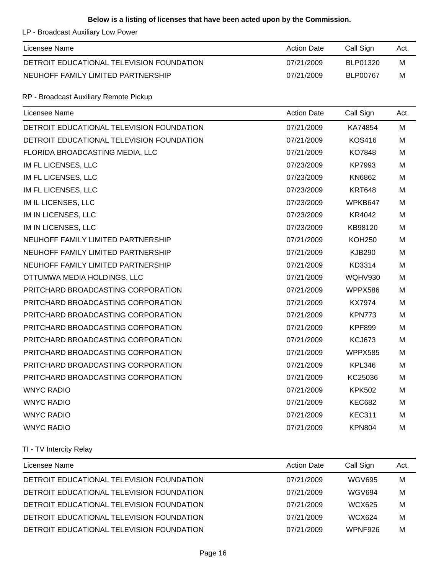### **Below is a listing of licenses that have been acted upon by the Commission.**

LP - Broadcast Auxiliary Low Power

| Licensee Name                             | <b>Action Date</b> | Call Sign       | Act. |
|-------------------------------------------|--------------------|-----------------|------|
| DETROIT EDUCATIONAL TELEVISION FOUNDATION | 07/21/2009         | BLP01320        | M    |
| NEUHOFF FAMILY LIMITED PARTNERSHIP        | 07/21/2009         | <b>BLP00767</b> | M    |

## RP - Broadcast Auxiliary Remote Pickup

| Licensee Name                             | <b>Action Date</b> | Call Sign      | Act. |
|-------------------------------------------|--------------------|----------------|------|
| DETROIT EDUCATIONAL TELEVISION FOUNDATION | 07/21/2009         | KA74854        | M    |
| DETROIT EDUCATIONAL TELEVISION FOUNDATION | 07/21/2009         | <b>KOS416</b>  | M    |
| FLORIDA BROADCASTING MEDIA, LLC           | 07/21/2009         | KO7848         | M    |
| IM FL LICENSES, LLC                       | 07/23/2009         | KP7993         | M    |
| IM FL LICENSES, LLC                       | 07/23/2009         | KN6862         | M    |
| IM FL LICENSES, LLC                       | 07/23/2009         | <b>KRT648</b>  | M    |
| IM IL LICENSES, LLC                       | 07/23/2009         | WPKB647        | M    |
| IM IN LICENSES, LLC                       | 07/23/2009         | KR4042         | M    |
| IM IN LICENSES, LLC                       | 07/23/2009         | KB98120        | м    |
| NEUHOFF FAMILY LIMITED PARTNERSHIP        | 07/21/2009         | <b>KOH250</b>  | M    |
| NEUHOFF FAMILY LIMITED PARTNERSHIP        | 07/21/2009         | <b>KJB290</b>  | M    |
| NEUHOFF FAMILY LIMITED PARTNERSHIP        | 07/21/2009         | KD3314         | M    |
| OTTUMWA MEDIA HOLDINGS, LLC               | 07/21/2009         | <b>WQHV930</b> | M    |
| PRITCHARD BROADCASTING CORPORATION        | 07/21/2009         | WPPX586        | M    |
| PRITCHARD BROADCASTING CORPORATION        | 07/21/2009         | <b>KX7974</b>  | M    |
| PRITCHARD BROADCASTING CORPORATION        | 07/21/2009         | <b>KPN773</b>  | M    |
| PRITCHARD BROADCASTING CORPORATION        | 07/21/2009         | <b>KPF899</b>  | M    |
| PRITCHARD BROADCASTING CORPORATION        | 07/21/2009         | <b>KCJ673</b>  | M    |
| PRITCHARD BROADCASTING CORPORATION        | 07/21/2009         | WPPX585        | M    |
| PRITCHARD BROADCASTING CORPORATION        | 07/21/2009         | <b>KPL346</b>  | M    |
| PRITCHARD BROADCASTING CORPORATION        | 07/21/2009         | KC25036        | м    |
| <b>WNYC RADIO</b>                         | 07/21/2009         | <b>KPK502</b>  | M    |
| <b>WNYC RADIO</b>                         | 07/21/2009         | <b>KEC682</b>  | M    |
| <b>WNYC RADIO</b>                         | 07/21/2009         | <b>KEC311</b>  | M    |
| <b>WNYC RADIO</b>                         | 07/21/2009         | <b>KPN804</b>  | M    |

## TI - TV Intercity Relay

| Licensee Name                             | <b>Action Date</b> | Call Sign     | Act. |
|-------------------------------------------|--------------------|---------------|------|
| DETROIT EDUCATIONAL TELEVISION FOUNDATION | 07/21/2009         | <b>WGV695</b> | M    |
| DETROIT EDUCATIONAL TELEVISION FOUNDATION | 07/21/2009         | <b>WGV694</b> | M    |
| DETROIT EDUCATIONAL TELEVISION FOUNDATION | 07/21/2009         | WCX625        | M    |
| DETROIT EDUCATIONAL TELEVISION FOUNDATION | 07/21/2009         | <b>WCX624</b> | M    |
| DETROIT EDUCATIONAL TELEVISION FOUNDATION | 07/21/2009         | WPNF926       | M    |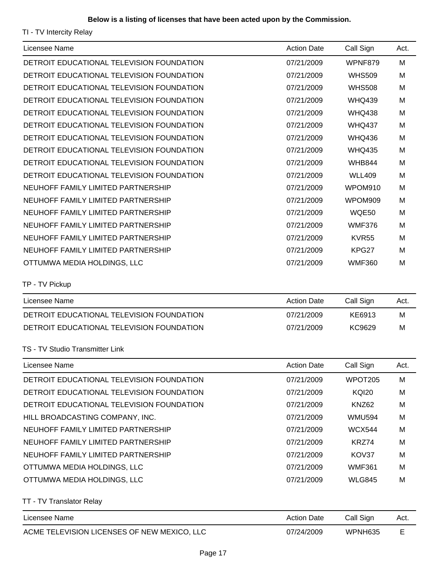TI - TV Intercity Relay

| Licensee Name                             | <b>Action Date</b> | Call Sign     | Act. |
|-------------------------------------------|--------------------|---------------|------|
| DETROIT EDUCATIONAL TELEVISION FOUNDATION | 07/21/2009         | WPNF879       | M    |
| DETROIT EDUCATIONAL TELEVISION FOUNDATION | 07/21/2009         | <b>WHS509</b> | M    |
| DETROIT EDUCATIONAL TELEVISION FOUNDATION | 07/21/2009         | <b>WHS508</b> | M    |
| DETROIT EDUCATIONAL TELEVISION FOUNDATION | 07/21/2009         | <b>WHQ439</b> | M    |
| DETROIT EDUCATIONAL TELEVISION FOUNDATION | 07/21/2009         | <b>WHQ438</b> | M    |
| DETROIT EDUCATIONAL TELEVISION FOUNDATION | 07/21/2009         | <b>WHQ437</b> | M    |
| DETROIT EDUCATIONAL TELEVISION FOUNDATION | 07/21/2009         | <b>WHQ436</b> | M    |
| DETROIT EDUCATIONAL TELEVISION FOUNDATION | 07/21/2009         | <b>WHQ435</b> | м    |
| DETROIT EDUCATIONAL TELEVISION FOUNDATION | 07/21/2009         | <b>WHB844</b> | M    |
| DETROIT EDUCATIONAL TELEVISION FOUNDATION | 07/21/2009         | <b>WLL409</b> | M    |
| NEUHOFF FAMILY LIMITED PARTNERSHIP        | 07/21/2009         | WPOM910       | M    |
| NEUHOFF FAMILY LIMITED PARTNERSHIP        | 07/21/2009         | WPOM909       | M    |
| NEUHOFF FAMILY LIMITED PARTNERSHIP        | 07/21/2009         | WQE50         | M    |
| NEUHOFF FAMILY LIMITED PARTNERSHIP        | 07/21/2009         | <b>WMF376</b> | M    |
| NEUHOFF FAMILY LIMITED PARTNERSHIP        | 07/21/2009         | KVR55         | м    |
| NEUHOFF FAMILY LIMITED PARTNERSHIP        | 07/21/2009         | KPG27         | M    |
| OTTUMWA MEDIA HOLDINGS, LLC               | 07/21/2009         | <b>WMF360</b> | M    |
| TP - TV Pickup                            |                    |               |      |
| Licensee Name                             | <b>Action Date</b> | Call Sign     | Act. |
| DETROIT EDUCATIONAL TELEVISION FOUNDATION | 07/21/2009         | KE6913        | M    |
| DETROIT EDUCATIONAL TELEVISION FOUNDATION | 07/21/2009         | KC9629        | M    |
| TS - TV Studio Transmitter Link           |                    |               |      |
| Licensee Name                             | <b>Action Date</b> | Call Sign     | Act. |
| DETROIT EDUCATIONAL TELEVISION FOUNDATION | 07/21/2009         | WPOT205       | M    |
| DETROIT EDUCATIONAL TELEVISION FOUNDATION | 07/21/2009         | <b>KQI20</b>  | M    |
| DETROIT EDUCATIONAL TELEVISION FOUNDATION | 07/21/2009         | KNZ62         | M    |
| HILL BROADCASTING COMPANY, INC.           | 07/21/2009         | <b>WMU594</b> | м    |
| NEUHOFF FAMILY LIMITED PARTNERSHIP        | 07/21/2009         | <b>WCX544</b> | M    |
| NEUHOFF FAMILY LIMITED PARTNERSHIP        | 07/21/2009         | KRZ74         | M    |
| NEUHOFF FAMILY LIMITED PARTNERSHIP        | 07/21/2009         | KOV37         | M    |
| OTTUMWA MEDIA HOLDINGS, LLC               | 07/21/2009         | <b>WMF361</b> | м    |
| OTTUMWA MEDIA HOLDINGS, LLC               | 07/21/2009         | <b>WLG845</b> | M    |
| TT - TV Translator Relay                  |                    |               |      |
| Licensee Name                             | <b>Action Date</b> | Call Sign     | Act. |